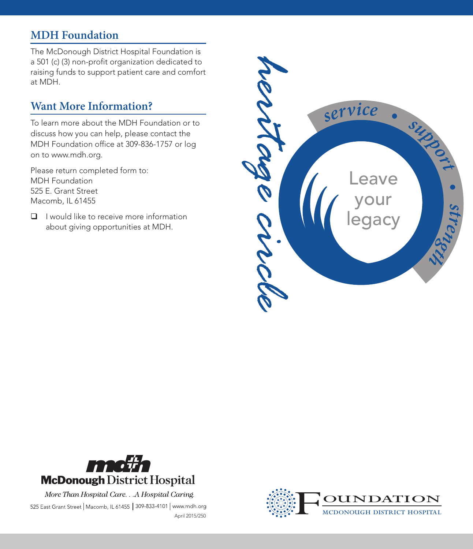# **MDH Foundation**

The McDonough District Hospital Foundation is a 501 (c) (3) non-profit organization dedicated to raising funds to support patient care and comfort at MDH.

# **Want More Information?**

To learn more about the MDH Foundation or to discuss how you can help, please contact the MDH Foundation office at 309-836-1757 or log on to www.mdh.org.

Please return completed form to: MDH Foundation 525 E. Grant Street Macomb, IL 61455

 $\Box$  I would like to receive more information about giving opportunities at MDH.